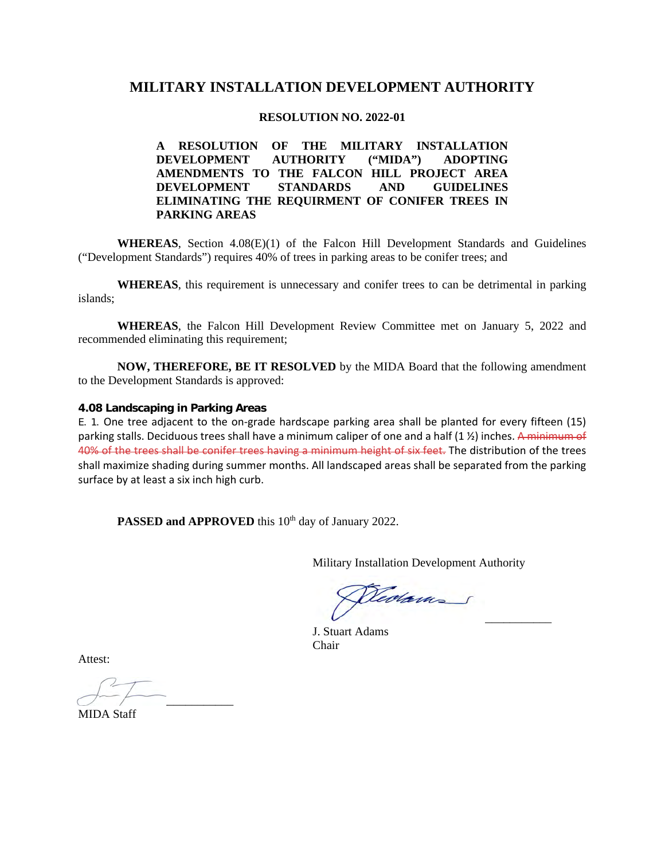# **MILITARY INSTALLATION DEVELOPMENT AUTHORITY**

### **RESOLUTION NO. 2022-01**

**A RESOLUTION OF THE MILITARY INSTALLATION DEVELOPMENT AUTHORITY ("MIDA") ADOPTING AMENDMENTS TO THE FALCON HILL PROJECT AREA DEVELOPMENT STANDARDS AND GUIDELINES ELIMINATING THE REQUIRMENT OF CONIFER TREES IN PARKING AREAS**

**WHEREAS**, Section 4.08(E)(1) of the Falcon Hill Development Standards and Guidelines ("Development Standards") requires 40% of trees in parking areas to be conifer trees; and

**WHEREAS**, this requirement is unnecessary and conifer trees to can be detrimental in parking islands;

**WHEREAS**, the Falcon Hill Development Review Committee met on January 5, 2022 and recommended eliminating this requirement;

**NOW, THEREFORE, BE IT RESOLVED** by the MIDA Board that the following amendment to the Development Standards is approved:

### **4.08 Landscaping in Parking Areas**

E. 1. One tree adjacent to the on-grade hardscape parking area shall be planted for every fifteen (15) parking stalls. Deciduous trees shall have a minimum caliper of one and a half (1 %) inches. A minimum of 40% of the trees shall be conifer trees having a minimum height of six feet. The distribution of the trees shall maximize shading during summer months. All landscaped areas shall be separated from the parking surface by at least a six inch high curb.

**PASSED and APPROVED** this 10<sup>th</sup> day of January 2022.

Military Installation Development Authority

 $\overline{\phantom{a}}$ 

J. Stuart Adams Chair

Attest:

 $\overline{\mathcal{O}}$  and  $\overline{\mathcal{O}}$  and  $\overline{\mathcal{O}}$  and  $\overline{\mathcal{O}}$  and  $\overline{\mathcal{O}}$  and  $\overline{\mathcal{O}}$  and  $\overline{\mathcal{O}}$  and  $\overline{\mathcal{O}}$  and  $\overline{\mathcal{O}}$  and  $\overline{\mathcal{O}}$  and  $\overline{\mathcal{O}}$  and  $\overline{\mathcal{O}}$  and  $\overline{\mathcal{O}}$  and  $\overline{\mathcal{O}}$  a

MIDA Staff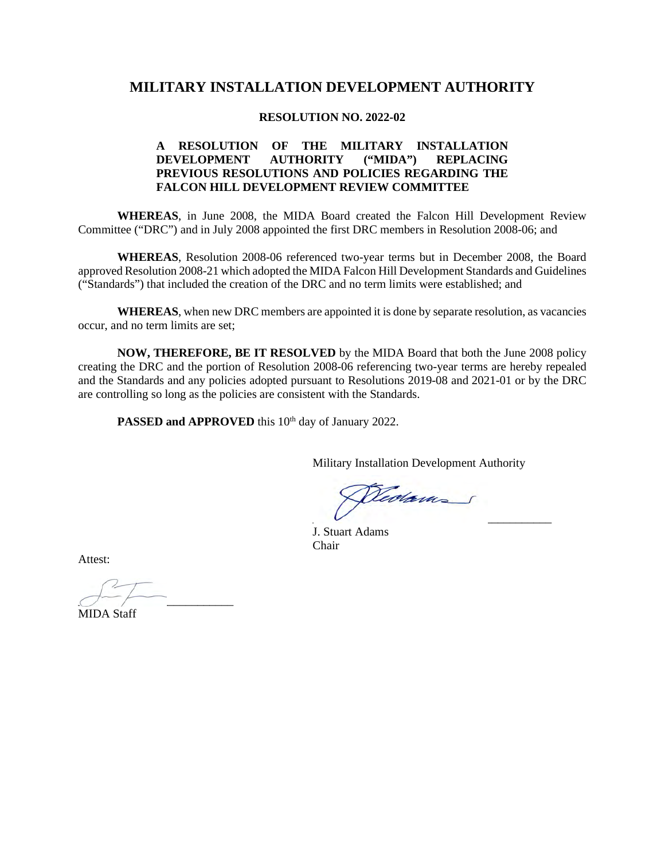# **MILITARY INSTALLATION DEVELOPMENT AUTHORITY**

#### **RESOLUTION NO. 2022-02**

### **A RESOLUTION OF THE MILITARY INSTALLATION DEVELOPMENT AUTHORITY ("MIDA") REPLACING PREVIOUS RESOLUTIONS AND POLICIES REGARDING THE FALCON HILL DEVELOPMENT REVIEW COMMITTEE**

**WHEREAS**, in June 2008, the MIDA Board created the Falcon Hill Development Review Committee ("DRC") and in July 2008 appointed the first DRC members in Resolution 2008-06; and

**WHEREAS**, Resolution 2008-06 referenced two-year terms but in December 2008, the Board approved Resolution 2008-21 which adopted the MIDA Falcon Hill Development Standards and Guidelines ("Standards") that included the creation of the DRC and no term limits were established; and

**WHEREAS**, when new DRC members are appointed it is done by separate resolution, as vacancies occur, and no term limits are set;

**NOW, THEREFORE, BE IT RESOLVED** by the MIDA Board that both the June 2008 policy creating the DRC and the portion of Resolution 2008-06 referencing two-year terms are hereby repealed and the Standards and any policies adopted pursuant to Resolutions 2019-08 and 2021-01 or by the DRC are controlling so long as the policies are consistent with the Standards.

PASSED and APPROVED this 10<sup>th</sup> day of January 2022.

Military Installation Development Authority

 $\overline{\phantom{a}}$ 

J. Stuart Adams Chair

Attest:

 $\overline{C}$   $\overline{C}$   $\overline{C}$   $\overline{C}$   $\overline{C}$   $\overline{C}$   $\overline{C}$   $\overline{C}$   $\overline{C}$   $\overline{C}$   $\overline{C}$   $\overline{C}$   $\overline{C}$   $\overline{C}$   $\overline{C}$   $\overline{C}$   $\overline{C}$   $\overline{C}$   $\overline{C}$   $\overline{C}$   $\overline{C}$   $\overline{C}$   $\overline{C}$   $\overline{C}$   $\overline{$ 

MIDA Staff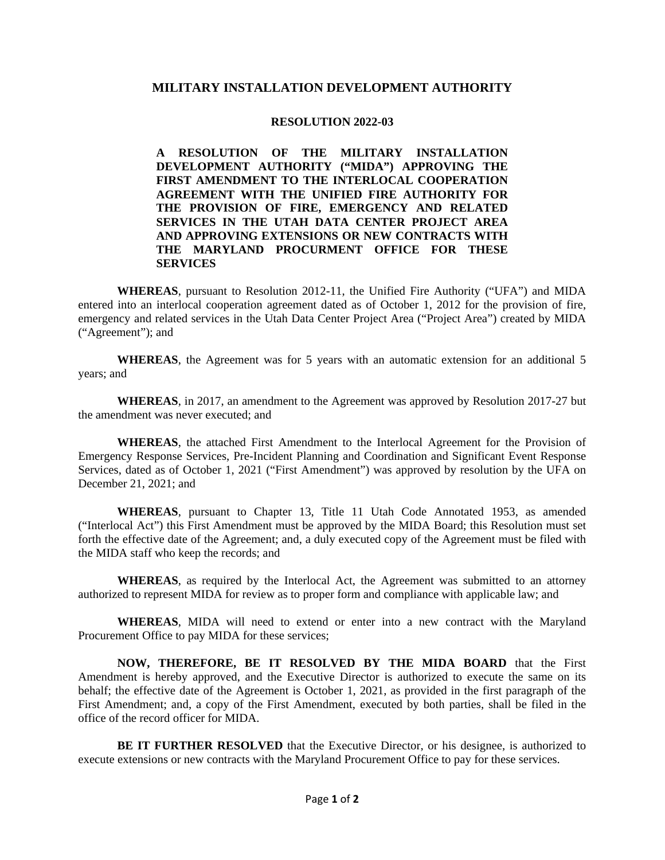### **MILITARY INSTALLATION DEVELOPMENT AUTHORITY**

#### **RESOLUTION 2022-03**

**A RESOLUTION OF THE MILITARY INSTALLATION DEVELOPMENT AUTHORITY ("MIDA") APPROVING THE FIRST AMENDMENT TO THE INTERLOCAL COOPERATION AGREEMENT WITH THE UNIFIED FIRE AUTHORITY FOR THE PROVISION OF FIRE, EMERGENCY AND RELATED SERVICES IN THE UTAH DATA CENTER PROJECT AREA AND APPROVING EXTENSIONS OR NEW CONTRACTS WITH THE MARYLAND PROCURMENT OFFICE FOR THESE SERVICES**

**WHEREAS**, pursuant to Resolution 2012-11, the Unified Fire Authority ("UFA") and MIDA entered into an interlocal cooperation agreement dated as of October 1, 2012 for the provision of fire, emergency and related services in the Utah Data Center Project Area ("Project Area") created by MIDA ("Agreement"); and

**WHEREAS**, the Agreement was for 5 years with an automatic extension for an additional 5 years; and

**WHEREAS**, in 2017, an amendment to the Agreement was approved by Resolution 2017-27 but the amendment was never executed; and

**WHEREAS**, the attached First Amendment to the Interlocal Agreement for the Provision of Emergency Response Services, Pre-Incident Planning and Coordination and Significant Event Response Services, dated as of October 1, 2021 ("First Amendment") was approved by resolution by the UFA on December 21, 2021; and

**WHEREAS**, pursuant to Chapter 13, Title 11 Utah Code Annotated 1953, as amended ("Interlocal Act") this First Amendment must be approved by the MIDA Board; this Resolution must set forth the effective date of the Agreement; and, a duly executed copy of the Agreement must be filed with the MIDA staff who keep the records; and

**WHEREAS**, as required by the Interlocal Act, the Agreement was submitted to an attorney authorized to represent MIDA for review as to proper form and compliance with applicable law; and

**WHEREAS**, MIDA will need to extend or enter into a new contract with the Maryland Procurement Office to pay MIDA for these services;

**NOW, THEREFORE, BE IT RESOLVED BY THE MIDA BOARD** that the First Amendment is hereby approved, and the Executive Director is authorized to execute the same on its behalf; the effective date of the Agreement is October 1, 2021, as provided in the first paragraph of the First Amendment; and, a copy of the First Amendment, executed by both parties, shall be filed in the office of the record officer for MIDA.

**BE IT FURTHER RESOLVED** that the Executive Director, or his designee, is authorized to execute extensions or new contracts with the Maryland Procurement Office to pay for these services.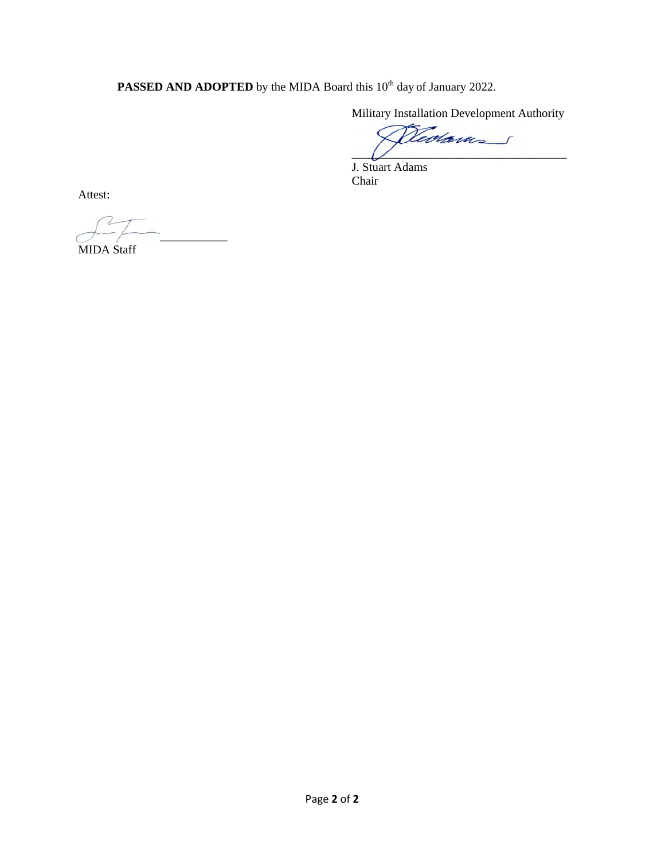**PASSED AND ADOPTED** by the MIDA Board this 10<sup>th</sup> day of January 2022.

Military Installation Development Authority

Dedam

J. Stuart Adams Chair

Attest:

MIDA Staff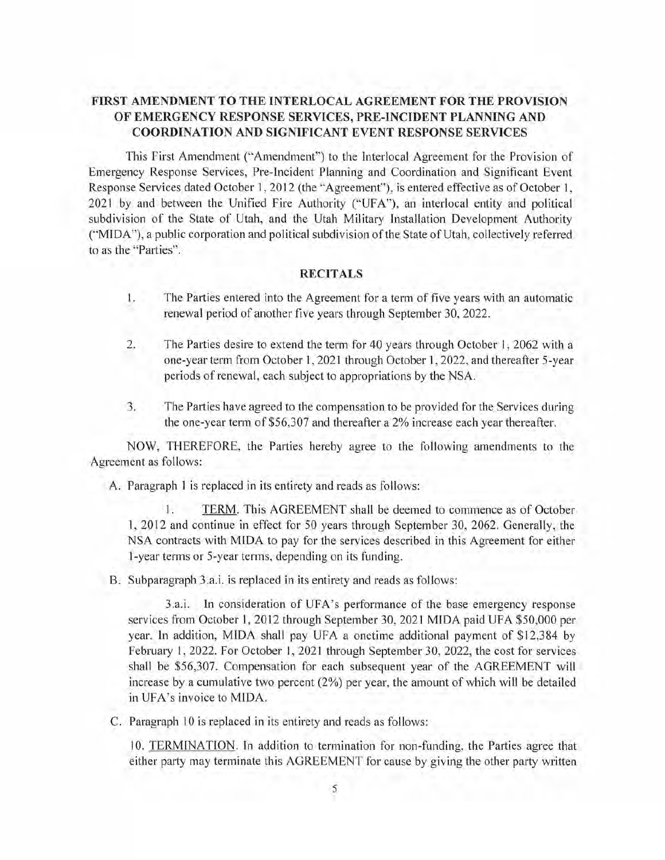# FIRST AMENDMENT TO THE INTERLOCAL AGREEMENT FOR THE PROVISION OF EMERGENCY RESPONSE SERVICES, PRE-INCIDENT PLANNING AND **COORDINATION AND SIGNIFICANT EVENT RESPONSE SERVICES**

This First Amendment ("Amendment") to the Interlocal Agreement for the Provision of Emergency Response Services, Pre-Incident Planning and Coordination and Significant Event Response Services dated October 1, 2012 (the "Agreement"), is entered effective as of October 1, 2021 by and between the Unified Fire Authority ("UFA"), an interlocal entity and political subdivision of the State of Utah, and the Utah Military Installation Development Authority ("MIDA"), a public corporation and political subdivision of the State of Utah, collectively referred to as the "Parties".

### **RECITALS**

- L. The Parties entered into the Agreement for a term of five years with an automatic renewal period of another five years through September 30, 2022.
- 2. The Parties desire to extend the term for 40 years through October 1, 2062 with a one-year term from October 1, 2021 through October 1, 2022, and thereafter 5-year periods of renewal, each subject to appropriations by the NSA.
- 3. The Parties have agreed to the compensation to be provided for the Services during the one-year term of \$56,307 and thereafter a 2% increase each year thereafter.

NOW, THEREFORE, the Parties hereby agree to the following amendments to the Agreement as follows:

A. Paragraph 1 is replaced in its entirety and reads as follows:

1. TERM. This AGREEMENT shall be deemed to commence as of October 1, 2012 and continue in effect for 50 years through September 30, 2062. Generally, the NSA contracts with MIDA to pay for the services described in this Agreement for either 1-year terms or 5-year terms, depending on its funding.

B. Subparagraph 3.a.i. is replaced in its entirety and reads as follows:

3.a.i. In consideration of UFA's performance of the base emergency response services from October 1, 2012 through September 30, 2021 MIDA paid UFA \$50,000 per year, In addition, MIDA shall pay UFA a onetime additional payment of \$12,384 by February 1, 2022. For October 1, 2021 through September 30, 2022, the cost for services shall be \$56,307. Compensation for each subsequent year of the AGREEMENT will increase by a cumulative two percent (2%) per year, the amount of which will be detailed in UFA's invoice to MIDA.

C. Paragraph 10 is replaced in its entirety and reads as follows:

10. TERMINATION. In addition to termination for non-funding, the Parties agree that either party may terminate this AGREEMENT for cause by giving the other party written